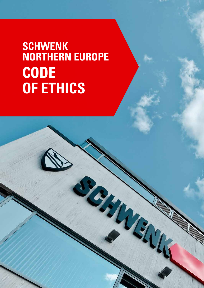### **SCHWENK northern europe CODE OF ETHICS**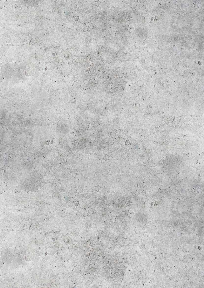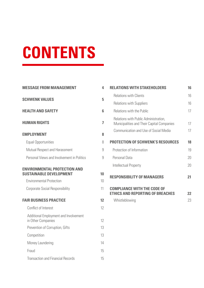# **Contents**

| <b>MESSAGE FROM MANAGEMENT</b>                                        | 4              |
|-----------------------------------------------------------------------|----------------|
| <b>SCHWENK VALUES</b>                                                 | 5              |
| <b>HEALTH AND SAFETY</b>                                              | 6              |
| <b>HUMAN RIGHTS</b>                                                   | $\overline{1}$ |
| <b>EMPLOYMENT</b>                                                     | 8              |
| Equal Opportunities                                                   | 8              |
| Mutual Respect and Harassment                                         | 9              |
| Personal Views and Involvement in Politics                            | 9              |
| <b>ENVIRONMENTAL PROTECTION AND</b><br><b>SUSTAINABLE DEVELOPMENT</b> | 10             |
| <b>Environmental Protection</b>                                       | 10             |
| <b>Corporate Social Responsibility</b>                                | 11             |
| <b>FAIR BUSINESS PRACTICE</b>                                         | 12             |
| Conflict of Interest                                                  | 12             |
| Additional Employment and Involvement<br>in Other Companies           | 12             |
| Prevention of Corruption, Gifts                                       | 13             |
| Competition                                                           | 13             |
| Money Laundering                                                      | 14             |
| Fraud                                                                 | 15             |
| <b>Transaction and Financial Records</b>                              | 15             |

| <b>RELATIONS WITH STAKEHOLDERS</b>                                                  | 16 |
|-------------------------------------------------------------------------------------|----|
| <b>Relations with Clients</b>                                                       | 16 |
| <b>Relations with Suppliers</b>                                                     | 16 |
| Relations with the Public                                                           | 17 |
| Relations with Public Administration,<br>Municipalities and Their Capital Companies | 17 |
| <b>Communication and Use of Social Media</b>                                        | 17 |
| <b>PROTECTION OF SCHWENK'S RESOURCES</b>                                            | 18 |
| Protection of Information                                                           | 19 |
| Personal Data                                                                       | 20 |
| Intellectual Property                                                               | 20 |
| <b>RESPONSIBILITY OF MANAGERS</b>                                                   | 21 |
| <b>COMPLIANCE WITH THE CODE OF</b><br><b>ETHICS AND REPORTING OF BREACHES</b>       | 22 |
| Whistleblowing                                                                      | 23 |
|                                                                                     |    |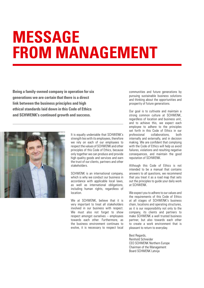## **MESSAGE FROM MANAGEMENT**

**Being a family-owned company in operation for six generations we are certain that there is a direct link between the business principles and high ethical standards laid down in this Code of Ethics and SCHWENK's continued growth and success.**



It is equally undeniable that SCHWENK's strength lies with its employees, therefore we rely on each of our employees to respect the values of SCHWENK and other principles of this Code of Ethics, because only together we can produce and provide high quality goods and services and earn the trust of our clients, partners and other stakeholders.

SCHWENK is an international company, which is why we conduct our business in accordance with applicable local laws, as well as international obligations, including human rights, regardless of location.

We at SCHWENK, believe that it is very important to treat all stakeholders involved in our business with respect. We must also not forget to show respect amongst ourselves – employees towards each other. Furthermore, as the business environment continues to evolve, it is necessary to respect local

communities and future generations by pursuing sustainable business solutions and thinking about the opportunities and prosperity of future generations.

Our goal is to cultivate and maintain a strong common culture at SCHWENK, regardless of location and business unit, and to achieve this, we expect each employee to adhere to the principles set forth in this Code of Ethics in our<br>professional collaborations both collaborations. internally and externally, and in decision making. We are confident that complying with the Code of Ethics will help us avoid failures, violations and resulting negative consequences, and maintain the good reputation of SCHWENK.

Although this Code of Ethics is not intended to be a manual that contains answers to all questions, we recommend that you treat it as a road map that sets out the principles to guide your daily work at SCHWENK.

We expect you to adhere to our values and the requirements of this Code of Ethics at all stages of SCHWENK's business chain, locations and operating structures, as it is our responsibility not only to the company, its clients and partners to make SCHWENK a well trusted business partner, but also towards each other to create a work environment that is pleasant to return to everyday.

Best Regards, Reinhold Schneider CEO SCHWENK Northern Europe Chairman of the Management Board SCHWENK Latvija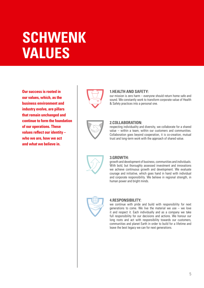## **SCHWENK VALUES**

**Our success is rooted in our values, which, as the business environment and industry evolve, are pillars that remain unchanged and continue to form the foundation of our operations. These values reflect our identity – who we are, how we act and what we believe in.**



#### **1.HEALTH AND SAFETY:**

our mission is zero harm – everyone should return home safe and sound. We constantly work to transform corporate value of Health & Safety practices into a personal one.



#### **2.COLLABORATION:**

respecting individuality and diversity, we collaborate for a shared value – within a team, within our customers and communities. Collaboration goes beyond cooperation, it is co-creation, mutual trust and long-term work with the approach of shared value.



#### **3.GROWTH:**

growth and development of business, communities and individuals. With bold, but thoroughly assessed investment and innovations we achieve continuous growth and development. We evaluate courage and initiative, which goes hand in hand with individual and corporate responsibility. We believe in regional strength, in human power and bright minds.



#### **4.RESPONSIBILITY:**

we continue with pride and build with responsibility for next generations to come. We live the material we use  $-$  we love it and respect it. Each individually and as a company we take full responsibility for our decisions and actions. We honour our long roots and act with responsibility towards our customers, communities and planet Earth in order to build for a lifetime and leave the best legacy we can for next generations.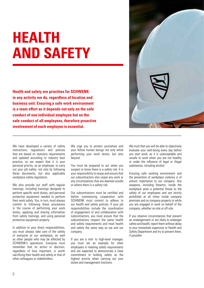## **HEALTH AND SAFETY**

**Health and safety are priorities for SCHWENK in any activity we do, regardless of location and business unit. Ensuring a safe work environment is a team effort as it depends not only on the safe conduct of one individual employee but on the safe conduct of all employees, therefore proactive involvement of each employee is essential.**



We have developed a variety of safety instructions, regulations and policies that are based on statutory requirements and updated according to industry best practice, so we expect that it is your personal priority, as an employee, to carry out your job safely, not only by following these documents, but also applicable workplace safety legislation.

We also provide our staff with regular trainings, including trainings designed to perform specific work duties, and personal protective equipment needed to perform their work safely. You, in turn, must always commit to following these procedures in the course of performing your work duties, applying and sharing information from safety trainings, and using personal protective equipment properly.

In addition to your direct responsibilities, you must always take care of the safety of everyone at our workplace, as well as other people who may be affected by SCHWENK's operations. Everyone must remember that no action or decision, regardless of how important, is worth sacrificing their health and safety or that of other colleagues or stakeholders.

We urge you to protect yourselves and your fellow human beings not only while performing your work duties, but also beyond.

You must be prepared to act when you suspect or know there is a safety risk. It is your responsibility to cease and ensure that our subcontractors also cease any work or any circumstances that are deemed unsafe or where there is a safety risk.

Our subcontractors must be certified and before commencing cooperation with SCHWENK must commit to adhere to our health and safety policies. If your job responsibilities include the coordination of engagement of and collaboration with subcontractors, you must ensure that the subcontractors respect the same health and safety requirements and treat health and safety the same way as we and our company.

If you are a mid- to high-level manager, you must set an example for other employees in meeting safety requirements and are expected to demonstrate a clear commitment to holding safety as the highest priority when carrying out your duties and management functions.

We trust that you will be able to objectively evaluate your well-being every day before you start work, as it is unacceptable and unsafe to work when you are not healthy or under the influence of legal or illegal substances, including alcohol.

Ensuring safe working environment and the prevention of workplace violence is of utmost importance to our company. Any weapons, including firearms, inside the workplace pose a potential threat to the safety of our employees and are strictly prohibited at all times inside company premises and on company property or while you are engaged in work on behalf of the company, whether on-site or off-site.

If you observe circumstances that present an endangerment or are likely to endanger safety and health, report them without delay to your immediate supervisor or Health and Safety Department and try to prevent them, if possible.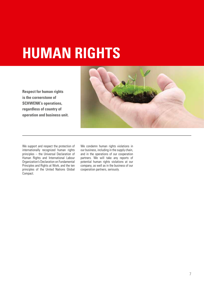## **HUMAN RIGHTS**

**Respect for human rights is the cornerstone of SCHWENK's operations, regardless of country of operation and business unit.**



We support and respect the protection of internationally recognized human rights principles – the Universal Declaration of Human Rights and International Labour Organization's Declaration on Fundamental Principles and Rights at Work, and the ten principles of the United Nations Global Compact.

We condemn human rights violations in our business, including in the supply chain, and in the operations of our cooperation partners. We will take any reports of potential human rights violations at our company, as well as in the business of our cooperation partners, seriously.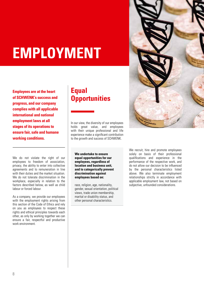## **EMPLOYMENT**

**Employees are at the heart of SCHWENK's success and progress, and our company complies with all applicable international and national employment laws at all stages of its operations to ensure fair, safe and humane working conditions.**

#### We do not violate the right of our employees to freedom of association, privacy, the ability to enter into collective agreements and to remuneration in line with their duties and the market situation. We do not tolerate discrimination in the workplace, especially in relation to the factors described below, as well as child labour or forced labour.

As a company, we provide our employees with the employment rights arising from this section of the Code of Ethics and rely on you as employees to respect these rights and ethical principles towards each other, as only by working together we can ensure a fair, respectful and productive work environment.

#### **Equal Opportunities**

In our view, the diversity of our employees holds great value, and employees with their unique professional and life experience make a significant contribution to the growth and success of SCHWENK.

**We undertake to ensure equal opportunities for our employees, regardless of location and business unit, and to categorically prevent discrimination against employees based on:**

race, religion, age, nationality, gender, sexual orientation, political views, trade union membership, marital or disability status, and other personal characteristics.

We recruit, hire and promote employees solely on basis of their professional qualifications and experience in the performance of the respective work, and do not allow our decision to be influenced by the personal characteristics listed above. We also terminate employment relationships strictly in accordance with applicable employment law, not based on subjective, unfounded considerations.

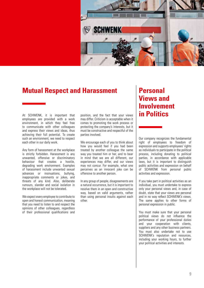

#### **Mutual Respect and Harassment**

At SCHWENK, it is important that employees are provided with a work environment, in which they feel free to communicate with other colleagues and express their views and ideas, thus achieving their full potential. To create such an environment, we need to respect each other in our daily work.

Any form of harassment at the workplace is strictly forbidden. Harassment is any unwanted, offensive or discriminatory behaviour that creates a hostile, degrading work environment. Examples of harassment include unwanted sexual advances or insinuations, bullying, inappropriate comments or jokes, and threats of any kind. Also, deliberate rumours, slander and social isolation in the workplace will not be tolerated.

We expect every employee to contribute to open and honest communication, meaning that you need to listen to and respect the opinions of other colleagues, regardless of their professional qualifications and position, and the fact that your views may differ. Criticism is acceptable when it comes to promoting the work process or protecting the company's interests, but it must be constructive and respectful of the parties involved.

We encourage each of you to think about how you would feel if you had been treated by another colleague the same way you treated him or her, and to bear in mind that we are all different, our experiences may differ, and our views may not concur. For example, what one perceives as an innocent joke can be offensive to another person.

In any group of people, disagreements are a natural occurrence, but it is important to resolve them in an open and constructive way, based on valid arguments, rather than using personal insults against each other.

### **Personal Views and Involvement in Politics**

Our company recognizes the fundamental right of employees to freedom of expression and supports employees' rights as individuals to participate in the political process, including donating to political parties, in accordance with applicable laws, but it is important to distinguish public activities and expression on behalf of SCHWENK from personal public activities and expression.

If you take part in political activities as an individual, you must undertake to express only your personal views and, in case of doubt, state that your views are personal and in no way reflect SCHWENK's views. The same applies to other forms of personal expression in public.

You must make sure that your personal political views do not influence the performance of your professional duties and your cooperation with clients, suppliers and any other business partners. You must also undertake not to use SCHWENK's reputation and resources, including your working hours, to further your political activities and interests.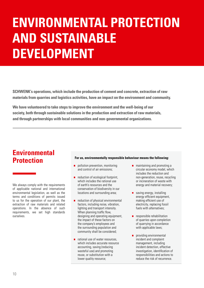### **ENVIRONMENTAL PROTECTION AND SUSTAINABLE DEVELOPMENT**

**SCHWENK's operations, which include the production of cement and concrete, extraction of raw materials from quarries and logistics activities, have an impact on the environment and community.**

**We have volunteered to take steps to improve the environment and the well-being of our society, both through sustainable solutions in the production and extraction of raw materials, and through partnerships with local communities and non-governmental organizations.**

#### **Environmental Protection**

We always comply with the requirements of applicable national and international environmental legislation, as well as the terms and conditions of permits issued to us for the operation of our plant, the extraction of raw materials and related operations. In the absence of such requirements, we set high standards ourselves.

#### **For us, environmentally responsible behaviour means the following:**

- pollution prevention, monitoring and control of air emissions;
- $\blacksquare$  reduction of ecological footprint, which includes the rational use of earth's resources and the conservation of biodiversity in our locations and surrounding area;
- $\blacksquare$  reduction of physical environmental factors, including noise, vibration, lighting and transport intensity. When planning traffic flow, designing and operating equipment, the impact of these factors on the company's employees and the surrounding population and community shall be considered;
- $\blacksquare$  rational use of water resources. which includes accurate resource accounting, saving (reducing wasteful use) and promoting reuse, or substitution with a lower quality resource;
- $\blacksquare$  maintaining and promoting a circular economy model, which includes the reduction and non-generation, reuse, recycling or incineration of waste with energy and material recovery;
- saving energy, installing energy efficient equipment, making efficient use of electricity, replacing fossil fuels with alternatives;
- $\blacksquare$  responsible rehabilitation of quarries upon completion of quarrying in accordance with applicable laws:
- $\blacksquare$ providing environmental incident and complaint management, including incident detection, effective investigation, identification of responsibilities and actions to reduce the risk of recurrence.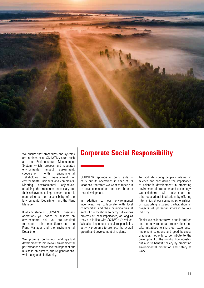

We ensure that procedures and systems are in place at all SCHWENK sites, such as the Environmental Management System, which foresees and regulates environmental impact assessment, cooperation with environmental stakeholders and management of environmental incidents and complaints. Meeting environmental objectives, obtaining the resources necessary for their achievement, improvement, control, monitoring is the responsibility of the Environmental Department and the Plant Manager.

If at any stage of SCHWENK's business operations you notice or suspect an environmental risk, you are required to report this immediately to the Plant Manager and the Environmental Department.

We promise continuous and gradual development to improve our environmental performance and reduce the impact of our business on climate, future generations' well-being and biodiversity.

### **Corporate Social Responsibility**

SCHWENK appreciates being able to carry out its operations in each of its locations, therefore we want to reach out to local communities and contribute to their development.

In addition to our environmental incentives, we collaborate with local communities and their municipalities at each of our locations to carry out various projects of local importance, as long as they are in line with SCHWENK's values. We also implement social responsibility activity programs to promote the overall growth and development of regions.

To facilitate young people's interest in science and considering the importance of scientific development in promoting environmental protection and technology, we collaborate with universities and other educational institutions by offering internships at our company, scholarships, or supporting student participation in projects of potential interest to our industry.

Finally, we collaborate with public entities and non-governmental organizations and take initiatives to share our experience, implement solutions and good business practices, not only to contribute to the development of the construction industry, but also to benefit society by promoting environmental protection and safety at work.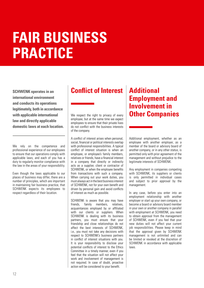## **FAIR BUSINESS PRACTICE**

**SCHWENK operates in an international environment and conducts its operations legitimately, both in accordance with applicable international law and directly applicable domestic laws at each location.**

We rely on the competence and professional experience of our employees to ensure that our operations comply with applicable laws, and each of you has a duty to regularly monitor compliance with the law in the areas of your responsibility.

Even though the laws applicable to our places of business may differ, there are a number of principles, which are important in maintaining fair business practice, that SCHWENK expects its employees to respect regardless of their location.

### **Conflict of Interest**

We respect the right to privacy of every employee, but at the same time we expect employees to ensure that their private lives do not conflict with the business interests of the company.

A conflict of interest arises when personal, social, financial or political interests overlap with professional responsibilities. A typical conflict of interest situation is when an employee, or employee's family members, relatives or friends, have a financial interest in a company that directly or indirectly acts as a supplier, client or contractor of SCHWENK, or when the employee benefits from transactions with such a company. When carrying out your work duties, you must always act in the best business interest of SCHWENK, not for your own benefit and driven by personal gain and avoid conflicts of interest as much as possible.

SCHWENK is aware that you may have friends, family members, relatives, acquaintances employed by or affiliated with our clients or suppliers. When SCHWENK is dealing with its business partners, you must ensure that your friendship and close relationships do not affect the best interests of SCHWENK, i.e., you must not take any decisions with respect to SCHWENK's business partners in conflict of interest situations with you. It is your responsibility to disclose your potential conflicts of interest to the Ethics Committee in a timely manner, even if you feel that the situation will not affect your work and involvement of management is not required. In case of doubt, proactive action will be considered to your benefit.

### **Additional Employment and Involvement in Other Companies**

Additional employment, whether as an employee with another employer, as a member of the board or advisory board of another company, or in any other status, is permitted only with prior agreement of the management and without prejudice to the legitimate interests of SCHWENK.

Any employment in companies competing with SCHWENK, its suppliers or clients is only permitted in individual cases and subject to prior approval by the management.

In any case, before you enter into an employment relationship with another employer or start up your own company, or become a board or advisory board member in your own or another company in parallel with employment at SCHWENK, you need to obtain approval from the management of SCHWENK, even if you feel that your new duties will not affect your current job responsibilities. Please keep in mind that the approval given by SCHWENK management is not unlimited and can be limited or revoked at the discretion of SCHWENK in accordance with applicable laws.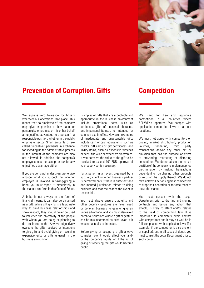

### **Prevention of Corruption, Gifts**

We express zero tolerance for bribery wherever our operations take place. This means that no employee of the company may give or promise or have another person give or promise on his or her behalf an unjustified advantage to a person in a responsible position, whether in the public or private sector. Small amounts or socalled "incentive" payments in exchange for speeding up the administrative process in the interest of the company are also not allowed. In addition, the company's employees must not accept or ask for any unjustified advantage either.

If you are being put under pressure to give a bribe, or if you suspect that another employee is involved in taking/giving a bribe, you must report it immediately in the manner set forth in this Code of Ethics.

A bribe is not always in the form of financial means, it can also be disguised as a gift. While gift giving is a legitimate way to build business relationships and show respect, they should never be used to influence the objectivity of the people with whom you are doing or planning to do business with. Always objectively evaluate the gifts received or intentions to give gifts and avoid giving or receiving expensive gifts or gifts unusual in the business environment.

Examples of gifts that are acceptable and appropriate in the business environment include promotional items, such as stationary, gifts of seasonal character, and impersonal items, often intended for common use in office. However, examples of inadequate and unacceptable gifts include cash or cash equivalents, such as checks, gift cards or gift certificates, and luxury items, such as expensive watches or pens, fine wine or expensive electronics. If you perceive the value of the gift to be received to exceed 100 EUR, approval of your supervisor is necessary.

Participation in an event organized by a supplier, client or other business partner is permitted only if there is sufficient and documented justification related to doing business and that the cost of the event is reasonable.

You must always ensure that gifts and other decency gestures are never used or done in business to gain or give an undue advantage, and you must also avoid potential situations where a gift or gesture can be misunderstood as such, even if it was not actually so intended.

Before giving or accepting a gift always consider how it would affect your and/ or the company's reputation if the act of giving or receiving the gift would become public.

### **Competition**

We stand for free and legitimate competition in all countries where SCHWENK operates. We comply with applicable competition laws at all our locations.

We must not agree with competitors on pricing, market distribution, production volumes, tendering, third party transactions and/or any other act or omission that has the purpose or effect of preventing, restricting or distorting competition. We do not abuse the market position of the company to implement price discrimination by making transactions dependent on purchasing other products or refusing the supply thereof. We do not take unlawful actions against competitors to stop their operation or to force them to leave the market.

You must consult with the Legal Department prior to drafting and signing contracts and before any action that affects, is likely to affect and/or relates to the field of competition law. It is impossible to completely avoid contact with competitors and it may as well be in full compliance with applicable laws (for example, if the competitor is also a client or supplier), but in all cases of doubt, you must consult the Legal Department prior to such contact.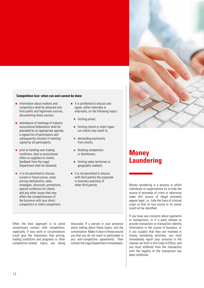#### **Competition law: what can and cannot be done**

- **n** information about markets and competitors shall be obtained only from public and legitimate sources. documenting those sources;
- attendance of meetings of industry associations/federations shall be preceded by an appropriate agenda, a signed list of participants and subsequently minutes of meeting signed by all participants;
- prior to handing over trading conditions, deal or promotional offers to suppliers or clients, feedback from the Legal Department shall be obtained;
- $\blacksquare$  it is not permitted to discuss current or future prices, costs, pricing mechanisms, sales strategies, discounts, promotions, special conditions for clients and any other issues that may affect the competitiveness of the business with your direct competitors or client competitors.
- $\blacksquare$  it is prohibited to discuss and agree, either internally or externally, on the following topics:
	- $\blacksquare$  limiting prices;
	- limiting clients or client types our clients may resell to;
	- demanding exclusivity  $\blacksquare$ from clients;
	- **blocking competitors** or distributors;
	- limiting sales territories or geographic markets.
- it is not permitted to discuss with third parties the corporate or business practices of other third parties.

**Money Laundering**

Money laundering is a process in which individuals or organizations try to hide the source of proceeds of crime or otherwise make this source of illegal proceeds appear legal, i.e., hide the trace of criminal origin so that its true source or its owner could not be identified.

If you have any concerns about payments or transactions, or if a party refuses to provide transaction or transaction identity information in the course of business, or if you suspect that they are involved in money laundering activities, you must immediately report your concerns in the manner set forth in this Code of Ethics, and you must withhold from the transaction until the legality of the transaction has been confirmed.

Often the best approach is to avoid unnecessary contact with competitors, especially, if your work or circumstances could give the impression that pricing, trading conditions and programs or other competition-related topics are being discussed. If a person in your presence starts talking about these topics, end the conversation. Make it clear to those around you that you do not want to participate in any anti-competitive agreements. Then contact the Legal Department immediately.

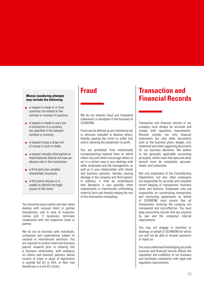#### **Money laundering attempts may include the following:**

- $\blacksquare$  a request is made to or from countries not related to the contract or invoices in question;
- **a** a request is made to carry out a transaction in a currency not specified in the relevant contract or invoices;
- a request to pay a large sum of money in cash is made;
- **a** a request includes third parties or intermediaries that do not have an obvious role in the transaction;
- $\blacksquare$  a third party has complex shareholder structures;
- $\blacksquare$  a third party refuses or is unable to identify the legal source of the funds.

You should be extra careful and alert when dealing with unusual client or partner transactions, and in case of suspicion, review and, if necessary, terminate cooperation with the respective client or partner.

We do not do business with individuals. companies and organizations subject to national or international sanctions. You are required to conduct client and business partner research prior to entering into a business relationship, with emphasis on clients and business partners whose country of origin or place of registration is outside the EU or EEA, or their true beneficiary is a non-EU citizen.

### **Fraud**

We do not tolerate fraud and fraudulent statements or deception in the business of SCHWENK.

Fraud can be defined as any intentional act or omission intended to deceive others, thereby causing the victim to suffer loss and/or allowing the perpetrator to profit.

You are prohibited from intentionally misrepresenting material facts on which others rely and which encourage others to act in a certain way in your dealings with other employees and the management, as well as in your relationships with clients and business partners, thereby causing damage to the company and third parties. In addition, it shall be remembered that deception is also possible when inadvertently or intentionally withholding material facts and thereby making the rest of the information misleading.

### **Transaction and Financial Records**

Transaction and financial records of our company must always be accurate and comply with regulatory requirements. Records include not only financial statements but also other documents such as the business plans, budget, cost statement and other supporting documents for our business decisions. We adhere to the generally applicable accounting principles, which state that data and other records must be completely accurate, timely, and systematic.

Not only employees of the Controllership Department, but also other employees are responsible for accurate and complete record keeping of transactions, business deals and finances. Employees who are responsible for coordinating transactions and concluding agreements on behalf of SCHWENK must ensure that all transactions involving the company are transparent and cost-effective. You must keep accounting records that are required by law and the company's internal requirements.

You may not engage in activities or dealings on behalf of SCHWENK for which you will not be able to answer questions or report on.

You must understand that keeping accurate business and financial records affects the reputation and credibility of our business and facilitates compliance with legal and regulatory requirements.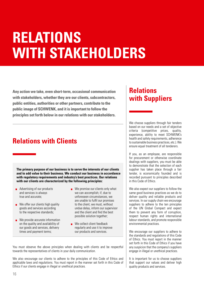## **RELATIONS WITH STAKEHOLDERS**

**Any action we take, even short-term, occasional communication with stakeholders, whether they are our clients, subcontractors, public entities, authorities or other partners, contribute to the public image of SCHWENK, and it is important to follow the principles set forth below in our relations with our stakeholders.**

### **Relations with Clients**

**The primary purpose of our business is to serve the interests of our clients and to add value to their business. We conduct our business in accordance with regulatory requirements and industry's best practices. Our relations with our clients are characterized by the following principles:**

- Advertising of our products and services is always true and accurate;
- $\blacksquare$  We offer our clients high quality goods and services according to the respective standards;
- $\blacksquare$  We provide accurate information on the quality and availability of our goods and services, delivery times and payment terms;
- $\blacksquare$  We promise our clients only what we can accomplish; if, due to unforeseen circumstances, we are unable to fulfil our promises to the client, we must, without undue delay, inform our supervisor and the client and find the best possible solution together;
- We collect client feedback regularly and use it to improve our products and services.

You must observe the above principles when dealing with clients and be respectful towards the representatives of clients in your daily communication.

We also encourage our clients to adhere to the principles of this Code of Ethics and applicable laws and regulations. You must report in the manner set forth in this Code of Ethics if our clients engage in illegal or unethical practices.

### **Relations with Suppliers**

We choose suppliers through fair tenders based on our needs and a set of objective criteria (competitive prices, quality, experience, ability to meet SCHWENK's health and safety requirements, adherence to sustainable business practices, etc.). We ensure equal treatment of all tenderers.

If you, as an employee, are responsible for procurement or otherwise coordinate dealings with suppliers, you must be able to demonstrate that the selection of each supplier has taken place through a fair tender, is economically founded and is recorded pursuant to principles described in this Code of Ethics.

We also expect our suppliers to follow the same good business practices as we do to deliver quality and reliable products and services. In our supply chain we encourage suppliers to adhere to the ten principles of the UN Global Compact and expect them to prevent any form of corruption, respect human rights and international labour standards, and promote responsible environmental practices.

We encourage our suppliers to adhere to the standards and regulations of this Code of Ethics. You must report in the manner set forth in this Code of Ethics if you have any suspicion that the company's suppliers engage in illegal or unethical practices.

It is important for us to choose suppliers that support our values and deliver high quality products and services.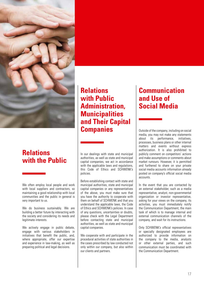

#### **Relations with the Public**

We often employ local people and work with local suppliers and contractors, so maintaining a good relationship with local communities and the public in general is very important to us.

We do business sustainably. We are building a better future by interacting with the society and considering its needs and legitimate interests.

We actively engage in public debate. engage with various stakeholders in initiatives that benefit the public, and, where appropriate, offer our expertise and experience in law-making, as well as preparing political and legal decisions.

**Relations with Public Administration, Municipalities and Their Capital Companies**

In our dealings with state and municipal authorities, as well as state and municipal capital companies, we act in accordance with the applicable laws and regulations, this Code of Ethics and SCHWENK's policies.

Before establishing contact with state and municipal authorities, state and municipal capital companies or any representatives of the above, you must make sure that you have the authority to cooperate with them on behalf of SCHWENK and that you understand the applicable laws, the Code of Ethics and SCHWENK's policies. In case of any questions, uncertainties or doubts, please check with the Legal Department before contacting state and municipal authorities, as well as state and municipal capital companies.

We cooperate with and participate in the procedural activities of state authorities in the cases prescribed by law conducted not only within our company, but also within our clients and partners.

#### **Communication and Use of Social Media**

Outside of the company, including on social media, you may not make any statements<br>about its nerformance initiatives about its performance, processes, business plans or other internal matters and events without express authorization. It is also prohibited to publicly comment on competitors' actions and make assumptions or comments about market rumours. However, it is permitted and furthered to share on your private social media accounts information already posted on company's official social media accounts.

In the event that you are contacted by an external stakeholder, such as a media representative, analyst, non-governmental organization or investor representative, asking for your views on the company, its activities, you must immediately notify the Communication Department, the main task of which is to manage internal and external communication channels of the company, and wait for its instructions.

Only SCHWENK's official representatives or specially designated employees are authorized to provide information on the company to the media, analysts or other external parties, and such communication must be coordinated with the Communication Department.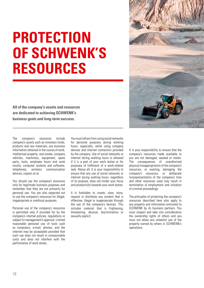### **PROTECTION OF SCHWENK'S RESOURCES**

**All of the company's assets and resources are dedicated to achieving SCHWENK's business goals and long-term success.**

The company's resources include company's assets such as monetary funds, products and raw materials, any business information obtained in the course of work, intellectual property, real estate, company vehicles, machinery, equipment, spare parts, tools, employee hours and work results, computer systems and software, telephones, wireless communication devices, copiers et al.

You should use the company's resources only for legitimate business purposes and remember that they are not primarily for personal use. You are also expected not to use the company's resources for illegal, inappropriate or unethical purposes.

Personal use of the company's resources is permitted only if provided for by the company's internal policies, regulations or subject to management's approval. Limited reasonable personal use of tools such as computers, e-mail, phones, and the internet may be acceptable provided that such use does not result in unreasonable costs and does not interfere with the performance of work duties.

You must refrain from using social networks for personal purposes during working hours, especially, while using company devices and internet connection provided by the company. Use of social networks or internet during working hours is allowed if it is a part of your work duties or for purposes of fulfilment of a work-related task. Above all, it is your responsibility to ensure that any use of social networks or internet during working hours, regardless of its purpose, does not hinder your focus and productivity towards your work duties.

It is forbidden to create, view, store, request or distribute any content that is offensive, illegal or inappropriate through the use of the company's devices. This includes material that is frightening. threatening, abusive, discriminatory or sexually explicit.

It is your responsibility to ensure that the company's resources made available to you are not damaged, wasted or stolen. The consequences of unauthorized physical misappropriation of the company's resources, or wasting, damaging the company's resources, or deliberate misrepresentation of the company's time and other resources used may result in termination of employment and initiation of criminal proceedings.

The principles of protecting the company's resources described here also apply to any property and information entrusted to SCHWENK by its business partners. You must respect and take into consideration the ownership rights of others and you must not allow any unlawful use of the property owned by others in SCHWENK's operations.

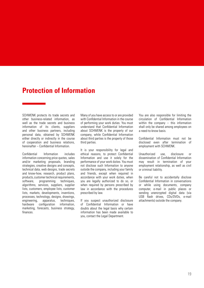#### **Protection of Information**

SCHWENK protects its trade secrets and other business-related information, as well as the trade secrets and business information of its clients, suppliers and other business partners, including personal data, obtained by SCHWENK either directly or indirectly in the course of cooperation and business relations, hereinafter – Confidential Information.

Confidential Information includes information concerning price quotes, sales and/or marketing proposals, branding strategies, creative designs and concepts, technical data, web designs, trade secrets and know-how, research, product plans, products, customer technical requirements, software, programming techniques, algorithms, services, suppliers, supplier lists, customers, employee lists, customer lists, markets, developments, inventions, processes, technology, designs, drawings, engineering, apparatus, techniques, hardware configuration information. marketing, forecasts, business strategy, finances.

Many of you have access to or are provided with Confidential Information in the course of performing your work duties. You must understand that Confidential Information about SCHWENK is the property of our company, while Confidential Information about third parties is the property of those third parties.

It is your responsibility for legal and ethical reasons, to protect Confidential Information and use it solely for the performance of your work duties. You must not disclose such Information to anyone outside the company, including your family and friends, except when required in accordance with your work duties, when you are legally authorized to do so, or when required by persons prescribed by law in accordance with the procedures prescribed by law.

If you suspect unauthorized disclosure of Confidential Information or have doubts about the legal basis why certain information has been made available to you, contact the Legal Department.

You are also responsible for limiting the circulation of Confidential Information within the company  $-$  this information shall only be shared among employees on a need-to-know basis.

Confidential Information must not be disclosed even after termination of employment with SCHWENK.

Unauthorized use, disclosure or dissemination of Confidential Information may result in termination of your employment relationship, as well as civil or criminal liability.

Be careful not to accidentally disclose Confidential Information in conversations or while using documents, company computer, e-mail in public places or sending unencrypted digital data (via USB flash drives, CDs/DVDs, e-mail attachments) outside the company.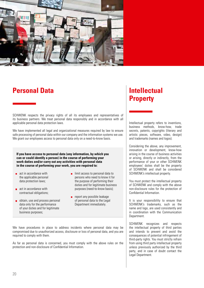

### **Personal Data**

SCHWENK respects the privacy rights of all its employees and representatives of its business partners. We treat personal data responsibly and in accordance with all applicable personal data protection laws.

We have implemented all legal and organizational measures required by law to ensure safe processing of personal data within our company and the information systems we use. We grant our employees access to personal data only on a need-to-know basis.

**If you have access to personal data (any information, by which you can or could identify a person) in the course of performing your work duties and/or carry out any activities with personal data in the course of performing your work, you are required to:**

- $\blacksquare$  act in accordance with the applicable personal data protection laws;
- act in accordance with  $\blacksquare$ contractual obligations;
- obtain, use and process personal data only for the performance of your duties and for legitimate business purposes;
- limit access to personal data to persons who need to know it for the purpose of performing their duties and for legitimate business purposes (need-to-know basis);
- report any possible leakage of personal data to the Legal Department immediately.

We have procedures in place to address incidents where personal data may be compromised due to unauthorized access, disclosure or loss of personal data, and you are required to comply with them.

As far as personal data is concerned, you must comply with the above rules on the protection and non-disclosure of Confidential Information.

### **Intellectual Property**

Intellectual property refers to inventions, business methods, know-how, trade secrets, patents, copyrights (literary and artistic pieces, software, video, design) and trademarks (names and logos).

Considering the above, any improvement, innovation or development, know-how arising in the course of business activities or arising, directly or indirectly, from the performance of your or other SCHWENK employees' duties shall be the property of SCHWENK and shall be considered SCHWENK's intellectual property.

You must protect the intellectual property of SCHWENK and comply with the above non-disclosure rules for the protection of Confidential Information.

It is your responsibility to ensure that SCHWENK's trademarks, such as the name and logo, are used consistently and in coordination with the Communication Department.

SCHWENK recognizes and respects the intellectual property of third parties and intends to prevent and avoid the consequences of potential infringement of third-party rights. You must strictly refrain from using third party intellectual property unless previously authorized by the third party, and in case of doubt contact the Legal Department.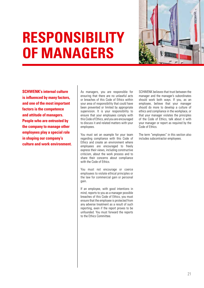### **RESPONSIBILITY OF MANAGERS**



**SCHWENK's internal culture is influenced by many factors, and one of the most important factors is the competence and attitude of managers. People who are entrusted by the company to manage other employees play a special role in shaping our company's culture and work environment.** As managers, you are responsible for ensuring that there are no unlawful acts or breaches of this Code of Ethics within your area of responsibility that could have been prevented or limited by appropriate supervision. It is your responsibility to ensure that your employees comply with this Code of Ethics, and you are encouraged to discuss it and related matters with your employees.

You must set an example for your team regarding compliance with this Code of Ethics and create an environment where employees are encouraged to freely express their views, including constructive criticism, about the work process and to share their concerns about compliance with the Code of Ethics.

You must not encourage or coerce employees to violate ethical principles or the law for commercial gain or personal gain.

If an employee, with good intentions in mind, reports to you as a manager possible breaches of this Code of Ethics, you must ensure that the employee is protected from any adverse treatment as a result of such reporting, even if the report proves to be unfounded. You must forward the reports to the Ethics Committee.

SCHWENK believes that trust between the manager and the manager's subordinates should work both ways. If you, as an employee, believe that your manager should do more to develop a culture of ethics and compliance in the workplace, or that your manager violates the principles of the Code of Ethics, talk about it with your manager or report as required by the Code of Ethics.

The term "employees" in this section also includes subcontractor employees.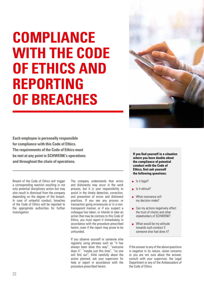### **COMPLIANCE WITH THE CODE OF ETHICS AND REPORTING OF BREACHES**



**Each employee is personally responsible for compliance with this Code of Ethics. The requirements of the Code of Ethics must be met at any point in SCHWENK's operations and throughout the chain of operations.**

Breach of the Code of Ethics will trigger a corresponding reaction resulting in not only potential disciplinary action but may also result in dismissal from the company depending on the degree of the breach. In case of unlawful conduct, breaches of the Code of Ethics will be reported to the appropriate authorities for further investigation.

The company understands that errors and dishonesty may occur in the work process, but it is your responsibility to assist in the timely detection, correction, and prevention of errors and dishonest practices. If you see any process or transaction going erroneously or in a nontransparent manner, or if you suspect a colleague has taken, or intends to take an action that may be contrary to this Code of Ethics, you must report it immediately in accordance with the procedure prescribed herein, even if the report may prove to be unfounded.

If you observe yourself or someone else regularly using phrases such as "it has always been done this way", "everyone does it", "maybe just this time", "no one will find out", think carefully about the action planned, ask your supervisor for help or report in accordance with the procedure prescribed herein.

**If you find yourself in a situation where you have doubts about the compliance of potential conduct with the Code of Ethics, first ask yourself the following questions:**

- Is it legal?
- Is it ethical?
- What resonance will my decision make?
- Can my actions negatively affect the trust of clients and other stakeholders of SCHWENK?
- What would be my attitude towards such conduct if someone else had done it?

If the answer to any of the above questions is negative in its nature, raises concerns or you are not sure about the answer, consult with your supervisor, the Legal Department or any of the Ambassadors of the Code of Ethics.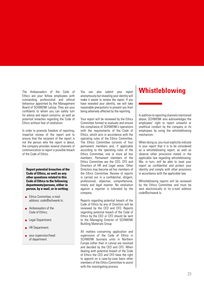The Ambassadors of the Code of Ethics are your fellow employees with outstanding professional and ethical behaviour appointed by the Management Board of SCHWENK Latvija. They are your confidants to whom you can safely turn for advice and report concerns, as well as potential breaches regarding the Code of Ethics without fear of retaliation.

In order to promote freedom of reporting impartial review of the report and to ensure that the recipient of the report is not the person who the report is about, the company provides several channels of communication to report a possible breach of the Code of Ethics.

**Report potential breaches of the Code of Ethics, as well as any other questions related to this Code of Ethics to the following departments/persons, either in person, by e-mail, or in writing:**

- Ethics Committee, e-mail address: code@schwenk.lv;
- **Ambassadors of the** Code of Ethics;
- Legal Department;
- HR Department;
- vour supervisor/head of department.

You can also submit your report anonymously but revealing your identity will make it easier to review the report. If you have revealed your identity, we will take reasonable precautions to prevent you from being adversely affected by the reporting.

Your report will be reviewed by the Ethics Committee formed to evaluate and ensure the compliance of SCHWENK's operations with the requirements of the Code of Ethics, which acts in accordance with the operating rules of the Ethics Committee. The Ethics Committee consists of four permanent members and, if applicable according to the operating rules of the Ethics Committee, one or more ad hoc members. Permanent members of the Ethics Committee are the CEO, CFO and Directors of HR and Legal areas. Other Directors may become ad hoc members of the Ethics Committee. Review of reports is carried out in a confidential, diligent, professional, objective, comprehensive, timely and legal manner. No retaliation against a reporter is tolerated by the company.

Reports regarding potential breach of the Code of Ethics by any of Directors will be reviewed by the CEO and CFO. Reports regarding potential breach of the Code of Ethics by the CEO or CFO should be sent to the Managing Director of SCHWENK Building Materials Group.

All matters concerning application and supervision of the Code of Ethics in SCHWENK business units in Northern Europe (other than in Latvia) are resolved and decided by the CEO and CFO. When dealing with potential breach of the Code of Ethics the CEO and CFO have the right to appoint on a case-by-case basis other members of the Ethics Committee to assist with the investigating process.

#### **Whistleblowing**

In addition to reporting channels mentioned above, SCHWENK also acknowledges the employees' right to report unlawful or unethical conduct by the company or its employees by using the whistleblowing mechanism.

When doing so, you must explicitly indicate in your report that it is to be considered as a whistleblowing report, as well as observe other provisions stated in the applicable law regarding whistleblowing. We, in turn, will be able to treat your report as confidential and protect your identity and comply with other provisions in accordance with the applicable law.

Whistleblowing reports will be reviewed by the Ethics Committee and must be sent electronically to its e-mail address code@schwenk.lv.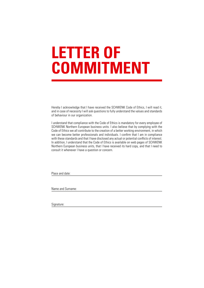## **LETTER OF COMMITMENT**

Hereby I acknowledge that I have received the SCHWENK Code of Ethics, I will read it, and in case of necessity I will ask questions to fully understand the values and standards of behaviour in our organization.

I understand that compliance with the Code of Ethics is mandatory for every employee of SCHWENK Northern European business units. I also believe that by complying with the Code of Ethics we all contribute to the creation of a better working environment, in which we can become better professionals and individuals. I confirm that I am in compliance with these standards and that I have disclosed any actual or potential conflicts of interest. In addition, I understand that the Code of Ethics is available on web pages of SCHWENK Northern European business units, that I have received its hard copy, and that I need to consult it whenever I have a question or concern.

Place and date:

Name and Surname:

Signature: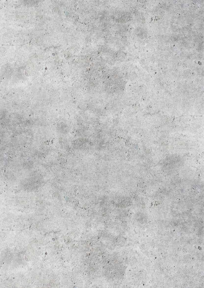